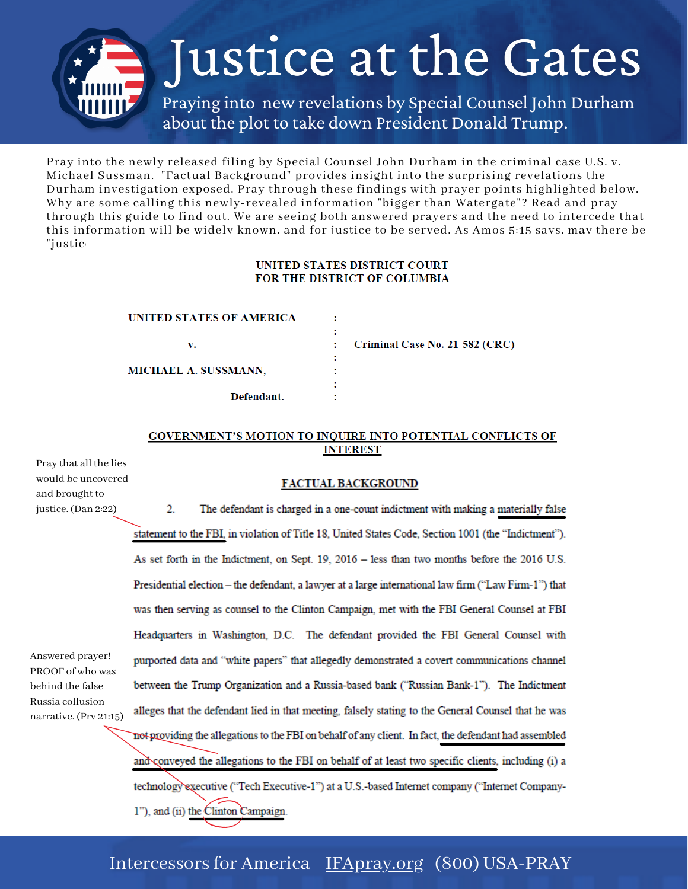

Pray into the newly released filing by Special Counsel John Durham in the criminal case U.S. v. Michael Sussman. "Factual Background" provides insight into the surprising revelations the Durham investigation exposed. Pray through these findings with prayer points highlighted below. Why are some calling this newly-revealed information "bigger than Watergate"? Read and pray through this guide to find out. We are seeing both answered prayers and the need to intercede that this information will be widely known, and for justice to be served. As Amos 5:15 says, may there be "justic

### **UNITED STATES DISTRICT COURT** FOR THE DISTRICT OF COLUMBIA

÷

| UNITED STATES OF AMERICA    |  |
|-----------------------------|--|
| v.                          |  |
| <b>MICHAEL A. SUSSMANN.</b> |  |
| Defendant.                  |  |

Criminal Case No. 21-582 (CRC)

#### GOVERNMENT'S MOTION TO INQUIRE INTO POTENTIAL CONFLICTS OF **INTEREST**

Pray that all the lies would be uncovered and brought to justice. (Dan 2:22)

Answered prayer! PROOF of who was behind the false Russia collusion narrative. (Prv 21:15)

#### **FACTUAL BACKGROUND**

 $\overline{2}$ . The defendant is charged in a one-count indictment with making a materially false statement to the FBI, in violation of Title 18, United States Code, Section 1001 (the "Indictment"). As set forth in the Indictment, on Sept. 19, 2016 - less than two months before the 2016 U.S. Presidential election - the defendant, a lawyer at a large international law firm ("Law Firm-1") that was then serving as counsel to the Clinton Campaign, met with the FBI General Counsel at FBI Headquarters in Washington, D.C. The defendant provided the FBI General Counsel with purported data and "white papers" that allegedly demonstrated a covert communications channel between the Trump Organization and a Russia-based bank ("Russian Bank-1"). The Indictment alleges that the defendant lied in that meeting, falsely stating to the General Counsel that he was not providing the allegations to the FBI on behalf of any client. In fact, the defendant had assembled and conveyed the allegations to the FBI on behalf of at least two specific clients, including (i) a technology executive ("Tech Executive-1") at a U.S.-based Internet company ("Internet Company-1"), and (ii) the Clinton Campaign.

## Intercessors for America [IFApray.org](http://ifapray.org/) (800) USA-PRAY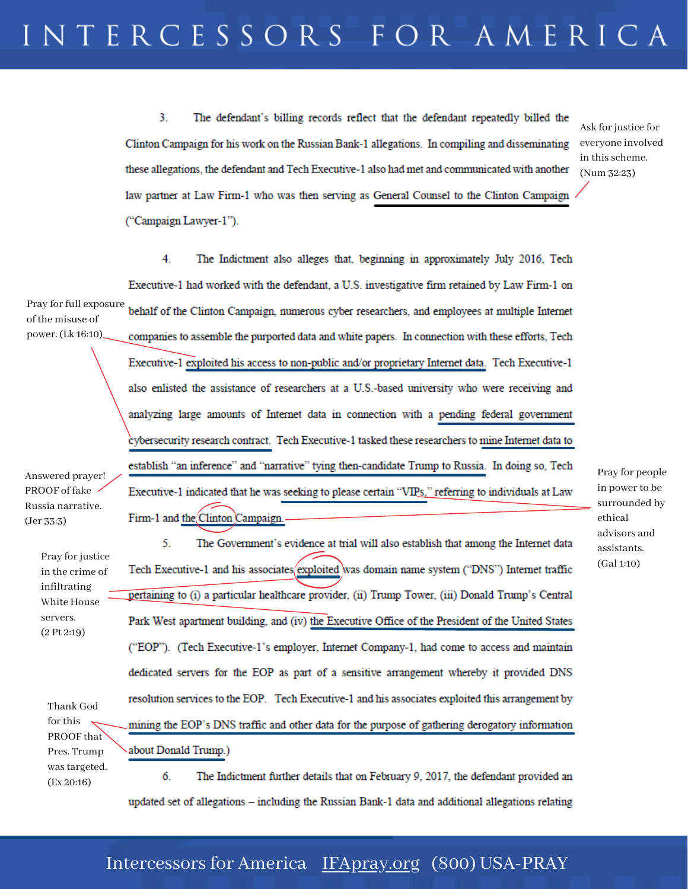3. The defendant's billing records reflect that the defendant repeatedly billed the Clinton Campaign for his work on the Russian Bank-1 allegations. In compiling and disseminating these allegations, the defendant and Tech Executive-1 also had met and communicated with another law partner at Law Firm-1 who was then serving as General Counsel to the Clinton Campaign ("Campaign Lawyer-1").

Ask for justice for everyone involved in this scheme. (Num 32:23)

4 The Indictment also alleges that, beginning in approximately July 2016, Tech Executive-1 had worked with the defendant, a U.S. investigative firm retained by Law Firm-1 on Pray for full exposure behalf of the Clinton Campaign, numerous cyber researchers, and employees at multiple Internet of the misuse of power. (Lk 16:10) companies to assemble the purported data and white papers. In connection with these efforts, Tech

Answered prayer! PROOF of fake Russia narrative. (Jer 33:3)

> Pray for justice in the crime of infiltrating White House servers. (2 Pt 2:19)

> > Pres. Trump wastargeted. (Ex 20:16)

pertaining to (i) a particular healthcare provider, (ii) Trump Tower, (iii) Donald Trump's Central Park West apartment building, and (iv) the Executive Office of the President of the United States ("EOP"). (Tech Executive-1's employer, Internet Company-1, had come to access and maintain dedicated servers for the EOP as part of a sensitive arrangement whereby it provided DNS Thank God for this PROOF that

resolution services to the EOP. Tech Executive-1 and his associates exploited this arrangement by mining the EOP's DNS traffic and other data for the purpose of gathering derogatory information about Donald Trump.)

5.

6. The Indictment further details that on February 9, 2017, the defendant provided an updated set of allegations - including the Russian Bank-1 data and additional allegations relating

Executive-1 exploited his access to non-public and/or proprietary Internet data. Tech Executive-1 also enlisted the assistance of researchers at a U.S.-based university who were receiving and analyzing large amounts of Internet data in connection with a pending federal government cybersecurity research contract. Tech Executive-1 tasked these researchers to mine Internet data to establish "an inference" and "narrative" tying then-candidate Trump to Russia. In doing so, Tech Executive-1 indicated that he was seeking to please certain "VIPs," referring to individuals at Law Firm-1 and the Clinton Campaign.

Tech Executive-1 and his associates exploited was domain name system ("DNS") Internet traffic

The Government's evidence at trial will also establish that among the Internet data

Pray for people in power to be surrounded by ethical advisors and assistants. (Gal 1:10)

## Intercessors for America [IFApray.org](http://ifapray.org/) (800) USA-PRAY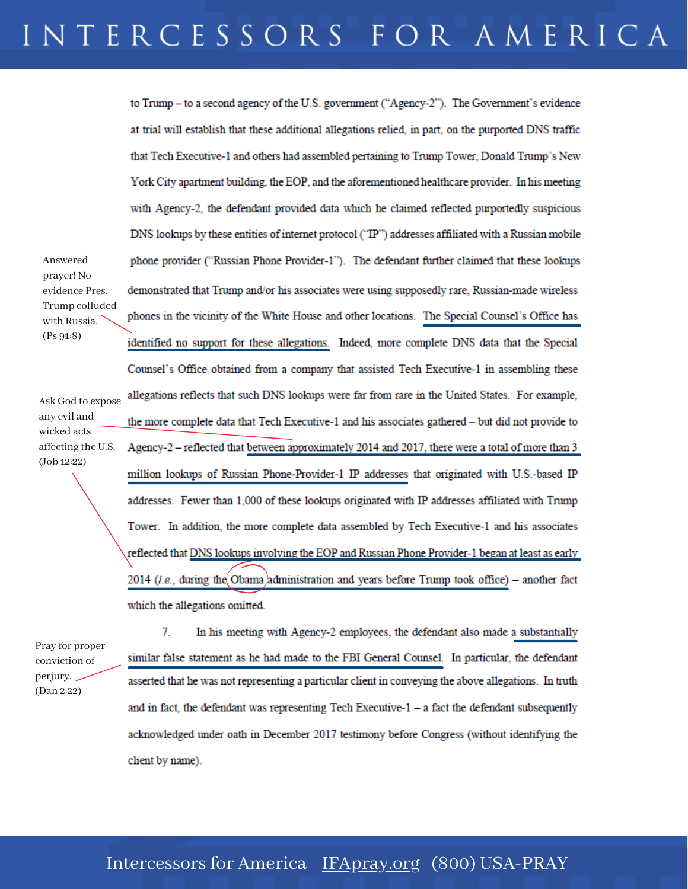## INTERCESSORS FOR AMERICA

to Trump – to a second agency of the U.S. government ("Agency-2"). The Government's evidence at trial will establish that these additional allegations relied, in part, on the purported DNS traffic that Tech Executive-1 and others had assembled pertaining to Trump Tower, Donald Trump's New York City apartment building, the EOP, and the aforementioned healthcare provider. In his meeting with Agency-2, the defendant provided data which he claimed reflected purportedly suspicious DNS lookups by these entities of internet protocol ("IP") addresses affiliated with a Russian mobile phone provider ("Russian Phone Provider-1"). The defendant further claimed that these lookups demonstrated that Trump and/or his associates were using supposedly rare. Russian-made wireless phones in the vicinity of the White House and other locations. The Special Counsel's Office has identified no support for these allegations. Indeed, more complete DNS data that the Special Counsel's Office obtained from a company that assisted Tech Executive-1 in assembling these allegations reflects that such DNS lookups were far from rare in the United States. For example, the more complete data that Tech Executive-1 and his associates gathered - but did not provide to Agency-2 - reflected that between approximately 2014 and 2017, there were a total of more than 3 million lookups of Russian Phone-Provider-1 IP addresses that originated with U.S.-based IP addresses. Fewer than 1,000 of these lookups originated with IP addresses affiliated with Trump Tower. In addition, the more complete data assembled by Tech Executive-1 and his associates reflected that DNS lookups involving the EOP and Russian Phone Provider-1 began at least as early 2014 (i.e., during the Obama administration and years before Trump took office) - another fact which the allegations omitted.

Pray for proper conviction of perjury. (Dan 2:22)

Ask God to expose any evil and wicked acts affecting the U.S. (Job 12:22)

Answered prayer! No evidence Pres. Trump colluded with Russia. (Ps 91:8)

> 7. In his meeting with Agency-2 employees, the defendant also made a substantially similar false statement as he had made to the FBI General Counsel. In particular, the defendant asserted that he was not representing a particular client in conveying the above allegations. In truth and in fact, the defendant was representing Tech Executive-1 - a fact the defendant subsequently acknowledged under oath in December 2017 testimony before Congress (without identifying the client by name).